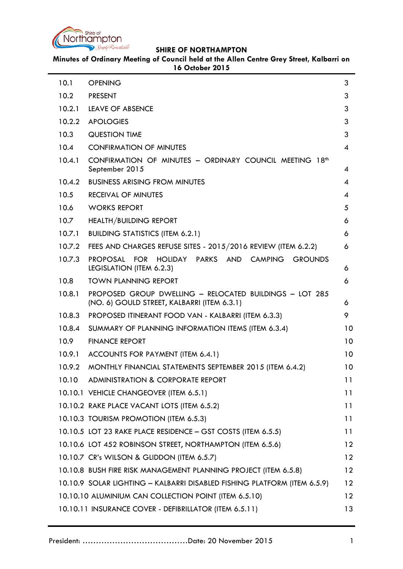

**Minutes of Ordinary Meeting of Council held at the Allen Centre Grey Street, Kalbarri on 16 October 2015**

| 10.1   | <b>OPENING</b>                                                                                           | 3                 |
|--------|----------------------------------------------------------------------------------------------------------|-------------------|
| 10.2   | <b>PRESENT</b>                                                                                           | 3                 |
| 10.2.1 | <b>LEAVE OF ABSENCE</b>                                                                                  | 3                 |
| 10.2.2 | <b>APOLOGIES</b>                                                                                         | 3                 |
| 10.3   | <b>QUESTION TIME</b>                                                                                     | 3                 |
| 10.4   | <b>CONFIRMATION OF MINUTES</b>                                                                           | 4                 |
| 10.4.1 | CONFIRMATION OF MINUTES - ORDINARY COUNCIL MEETING 18 <sup>th</sup><br>September 2015                    | 4                 |
| 10.4.2 | <b>BUSINESS ARISING FROM MINUTES</b>                                                                     | 4                 |
| 10.5   | <b>RECEIVAL OF MINUTES</b>                                                                               | 4                 |
| 10.6   | <b>WORKS REPORT</b>                                                                                      | 5                 |
| 10.7   | <b>HEALTH/BUILDING REPORT</b>                                                                            | 6                 |
| 10.7.1 | <b>BUILDING STATISTICS (ITEM 6.2.1)</b>                                                                  | 6                 |
| 10.7.2 | FEES AND CHARGES REFUSE SITES - 2015/2016 REVIEW (ITEM 6.2.2)                                            | 6                 |
| 10.7.3 | HOLIDAY PARKS AND CAMPING<br><b>PROPOSAL</b><br><b>FOR</b><br><b>GROUNDS</b><br>LEGISLATION (ITEM 6.2.3) | 6                 |
| 10.8   | <b>TOWN PLANNING REPORT</b>                                                                              | 6                 |
| 10.8.1 | PROPOSED GROUP DWELLING - RELOCATED BUILDINGS - LOT 285<br>(NO. 6) GOULD STREET, KALBARRI (ITEM 6.3.1)   | 6                 |
| 10.8.3 | PROPOSED ITINERANT FOOD VAN - KALBARRI (ITEM 6.3.3)                                                      | 9                 |
| 10.8.4 | SUMMARY OF PLANNING INFORMATION ITEMS (ITEM 6.3.4)                                                       | 10                |
| 10.9   | <b>FINANCE REPORT</b>                                                                                    | 10                |
| 10.9.1 | ACCOUNTS FOR PAYMENT (ITEM 6.4.1)                                                                        | 10                |
| 10.9.2 | MONTHLY FINANCIAL STATEMENTS SEPTEMBER 2015 (ITEM 6.4.2)                                                 | 10                |
| 10.10  | ADMINISTRATION & CORPORATE REPORT                                                                        | 11                |
|        | 10.10.1 VEHICLE CHANGEOVER (ITEM 6.5.1)                                                                  | 11                |
|        | 10.10.2 RAKE PLACE VACANT LOTS (ITEM 6.5.2)                                                              | 11                |
|        | 10.10.3 TOURISM PROMOTION (ITEM 6.5.3)                                                                   | 11                |
|        | 10.10.5 LOT 23 RAKE PLACE RESIDENCE - GST COSTS (ITEM 6.5.5)                                             | 11                |
|        | 10.10.6 LOT 452 ROBINSON STREET, NORTHAMPTON (ITEM 6.5.6)                                                | 12                |
|        | 10.10.7 CR's WILSON & GLIDDON (ITEM 6.5.7)                                                               | 12                |
|        | 10.10.8 BUSH FIRE RISK MANAGEMENT PLANNING PROJECT (ITEM 6.5.8)                                          | 12                |
|        | 10.10.9 SOLAR LIGHTING - KALBARRI DISABLED FISHING PLATFORM (ITEM 6.5.9)                                 | $12 \overline{ }$ |
|        | 10.10.10 ALUMINIUM CAN COLLECTION POINT (ITEM 6.5.10)                                                    | 12                |
|        | 10.10.11 INSURANCE COVER - DEFIBRILLATOR (ITEM 6.5.11)                                                   | 13                |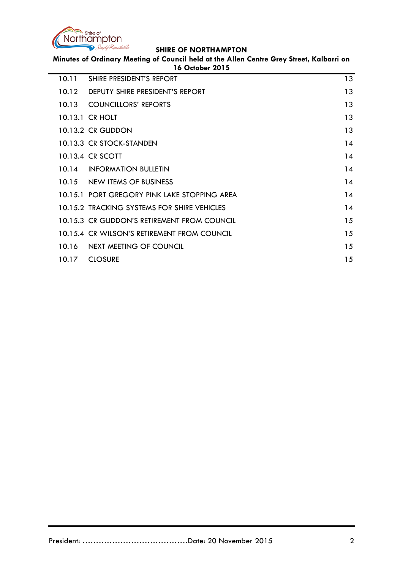

**Minutes of Ordinary Meeting of Council held at the Allen Centre Grey Street, Kalbarri on 16 October 2015**

| 10.11 | SHIRE PRESIDENT'S REPORT                     | 13 |
|-------|----------------------------------------------|----|
| 10.12 | DEPUTY SHIRE PRESIDENT'S REPORT              | 13 |
|       | 10.13 COUNCILLORS' REPORTS                   | 13 |
|       | 10.13.1 CR HOLT                              | 13 |
|       | 10.13.2 CR GLIDDON                           | 13 |
|       | 10.13.3 CR STOCK-STANDEN                     | 14 |
|       | 10.13.4 CR SCOTT                             | 14 |
|       | 10.14 INFORMATION BULLETIN                   | 14 |
|       | 10.15 NEW ITEMS OF BUSINESS                  | 14 |
|       | 10.15.1 PORT GREGORY PINK LAKE STOPPING AREA | 14 |
|       | 10.15.2 TRACKING SYSTEMS FOR SHIRE VEHICLES  | 14 |
|       | 10.15.3 CR GLIDDON'S RETIREMENT FROM COUNCIL | 15 |
|       | 10.15.4 CR WILSON'S RETIREMENT FROM COUNCIL  | 15 |
|       | 10.16 NEXT MEETING OF COUNCIL                | 15 |
| 10.17 | <b>CLOSURE</b>                               | 15 |
|       |                                              |    |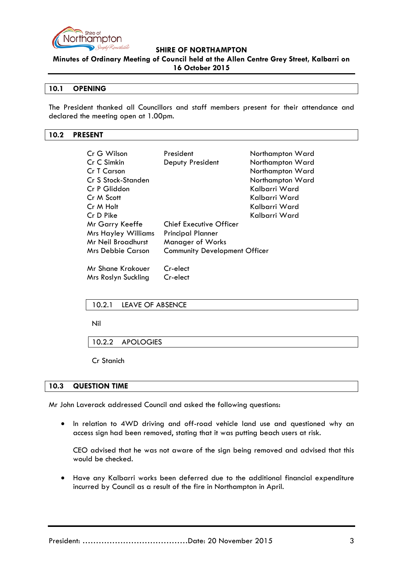

**Minutes of Ordinary Meeting of Council held at the Allen Centre Grey Street, Kalbarri on 16 October 2015**

## <span id="page-2-0"></span>**10.1 OPENING**

The President thanked all Councillors and staff members present for their attendance and declared the meeting open at 1.00pm.

## <span id="page-2-1"></span>**10.2 PRESENT**

| Cr G Wilson                | President                            | Northampton Ward |
|----------------------------|--------------------------------------|------------------|
| Cr C Simkin                | Deputy President                     | Northampton Ward |
| Cr T Carson                |                                      | Northampton Ward |
| Cr S Stock-Standen         |                                      | Northampton Ward |
| Cr P Gliddon               |                                      | Kalbarri Ward    |
| Cr M Scott                 |                                      | Kalbarri Ward    |
| Cr M Holt                  |                                      | Kalbarri Ward    |
| Cr D Pike                  |                                      | Kalbarri Ward    |
| Mr Garry Keeffe            | <b>Chief Executive Officer</b>       |                  |
| <b>Mrs Hayley Williams</b> | <b>Principal Planner</b>             |                  |
| Mr Neil Broadhurst         | Manager of Works                     |                  |
| <b>Mrs Debbie Carson</b>   | <b>Community Development Officer</b> |                  |
| Mr Shane Krakouer          | Cr-elect                             |                  |
| Mrs Roslyn Suckling        | Cr-elect                             |                  |

## <span id="page-2-2"></span>10.2.1 LEAVE OF ABSENCE

Nil

<span id="page-2-3"></span>10.2.2 APOLOGIES

Cr Stanich

## <span id="page-2-4"></span>**10.3 QUESTION TIME**

Mr John Laverack addressed Council and asked the following questions:

• In relation to 4WD driving and off-road vehicle land use and questioned why an access sign had been removed, stating that it was putting beach users at risk.

CEO advised that he was not aware of the sign being removed and advised that this would be checked.

• Have any Kalbarri works been deferred due to the additional financial expenditure incurred by Council as a result of the fire in Northampton in April.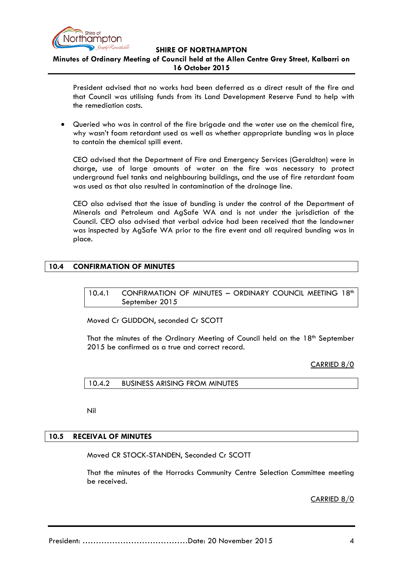

## **Minutes of Ordinary Meeting of Council held at the Allen Centre Grey Street, Kalbarri on 16 October 2015**

President advised that no works had been deferred as a direct result of the fire and that Council was utilising funds from its Land Development Reserve Fund to help with the remediation costs.

• Queried who was in control of the fire brigade and the water use on the chemical fire, why wasn't foam retardant used as well as whether appropriate bunding was in place to contain the chemical spill event.

CEO advised that the Department of Fire and Emergency Services (Geraldton) were in charge, use of large amounts of water on the fire was necessary to protect underground fuel tanks and neighbouring buildings, and the use of fire retardant foam was used as that also resulted in contamination of the drainage line.

CEO also advised that the issue of bunding is under the control of the Department of Minerals and Petroleum and AgSafe WA and is not under the jurisdiction of the Council. CEO also advised that verbal advice had been received that the landowner was inspected by AgSafe WA prior to the fire event and all required bunding was in place.

## <span id="page-3-1"></span><span id="page-3-0"></span>**10.4 CONFIRMATION OF MINUTES**

10.4.1 CONFIRMATION OF MINUTES - ORDINARY COUNCIL MEETING 18<sup>th</sup> September 2015

Moved Cr GLIDDON, seconded Cr SCOTT

That the minutes of the Ordinary Meeting of Council held on the 18<sup>th</sup> September 2015 be confirmed as a true and correct record.

CARRIED 8/0

<span id="page-3-2"></span>10.4.2 BUSINESS ARISING FROM MINUTES

Nil

## <span id="page-3-3"></span>**10.5 RECEIVAL OF MINUTES**

Moved CR STOCK-STANDEN, Seconded Cr SCOTT

That the minutes of the Horrocks Community Centre Selection Committee meeting be received.

CARRIED 8/0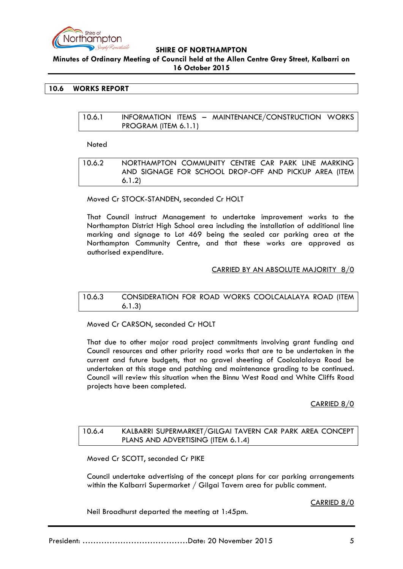

**Minutes of Ordinary Meeting of Council held at the Allen Centre Grey Street, Kalbarri on 16 October 2015**

## <span id="page-4-0"></span>**10.6 WORKS REPORT**

| 10.6.1 |                      |  | INFORMATION ITEMS - MAINTENANCE/CONSTRUCTION WORKS |  |
|--------|----------------------|--|----------------------------------------------------|--|
|        | PROGRAM (ITEM 6.1.1) |  |                                                    |  |

Noted

| 10.6.2 | NORTHAMPTON COMMUNITY CENTRE CAR PARK LINE MARKING     |
|--------|--------------------------------------------------------|
|        | AND SIGNAGE FOR SCHOOL DROP-OFF AND PICKUP AREA (ITEM) |
|        | 6.1.2)                                                 |

Moved Cr STOCK-STANDEN, seconded Cr HOLT

That Council instruct Management to undertake improvement works to the Northampton District High School area including the installation of additional line marking and signage to Lot 469 being the sealed car parking area at the Northampton Community Centre, and that these works are approved as authorised expenditure.

## CARRIED BY AN ABSOLUTE MAJORITY 8/0

## 10.6.3 CONSIDERATION FOR ROAD WORKS COOLCALALAYA ROAD (ITEM 6.1.3)

Moved Cr CARSON, seconded Cr HOLT

That due to other major road project commitments involving grant funding and Council resources and other priority road works that are to be undertaken in the current and future budgets, that no gravel sheeting of Coolcalalaya Road be undertaken at this stage and patching and maintenance grading to be continued. Council will review this situation when the Binnu West Road and White Cliffs Road projects have been completed.

## CARRIED 8/0

## 10.6.4 KALBARRI SUPERMARKET/GILGAI TAVERN CAR PARK AREA CONCEPT PLANS AND ADVERTISING (ITEM 6.1.4)

Moved Cr SCOTT, seconded Cr PIKE

Council undertake advertising of the concept plans for car parking arrangements within the Kalbarri Supermarket / Gilgai Tavern area for public comment.

CARRIED 8/0

Neil Broadhurst departed the meeting at 1:45pm.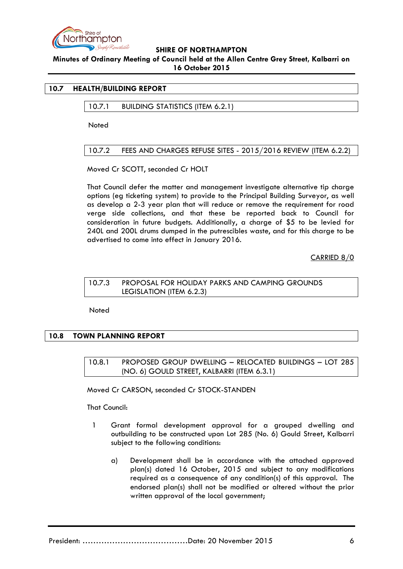

**Minutes of Ordinary Meeting of Council held at the Allen Centre Grey Street, Kalbarri on 16 October 2015**

## <span id="page-5-1"></span><span id="page-5-0"></span>**10.7 HEALTH/BUILDING REPORT**

10.7.1 BUILDING STATISTICS (ITEM 6.2.1)

**Noted** 

## <span id="page-5-2"></span>10.7.2 FEES AND CHARGES REFUSE SITES - 2015/2016 REVIEW (ITEM 6.2.2)

Moved Cr SCOTT, seconded Cr HOLT

That Council defer the matter and management investigate alternative tip charge options (eg ticketing system) to provide to the Principal Building Surveyor, as well as develop a 2-3 year plan that will reduce or remove the requirement for road verge side collections, and that these be reported back to Council for consideration in future budgets. Additionally, a charge of \$5 to be levied for 240L and 200L drums dumped in the putrescibles waste, and for this charge to be advertised to come into effect in January 2016.

CARRIED 8/0

## <span id="page-5-3"></span>10.7.3 PROPOSAL FOR HOLIDAY PARKS AND CAMPING GROUNDS LEGISLATION (ITEM 6.2.3)

Noted

## <span id="page-5-5"></span><span id="page-5-4"></span>**10.8 TOWN PLANNING REPORT**

10.8.1 PROPOSED GROUP DWELLING – RELOCATED BUILDINGS – LOT 285 (NO. 6) GOULD STREET, KALBARRI (ITEM 6.3.1)

Moved Cr CARSON, seconded Cr STOCK-STANDEN

That Council:

- 1 Grant formal development approval for a grouped dwelling and outbuilding to be constructed upon Lot 285 (No. 6) Gould Street, Kalbarri subject to the following conditions:
	- a) Development shall be in accordance with the attached approved plan(s) dated 16 October, 2015 and subject to any modifications required as a consequence of any condition(s) of this approval. The endorsed plan(s) shall not be modified or altered without the prior written approval of the local government;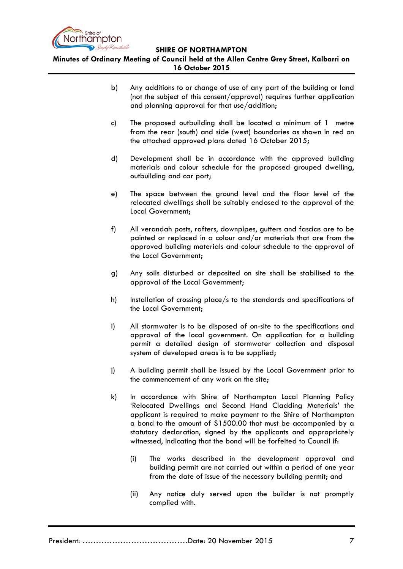

**Minutes of Ordinary Meeting of Council held at the Allen Centre Grey Street, Kalbarri on 16 October 2015**

- b) Any additions to or change of use of any part of the building or land (not the subject of this consent/approval) requires further application and planning approval for that use/addition;
- c) The proposed outbuilding shall be located a minimum of 1 metre from the rear (south) and side (west) boundaries as shown in red on the attached approved plans dated 16 October 2015;
- d) Development shall be in accordance with the approved building materials and colour schedule for the proposed grouped dwelling, outbuilding and car port;
- e) The space between the ground level and the floor level of the relocated dwellings shall be suitably enclosed to the approval of the Local Government;
- f) All verandah posts, rafters, downpipes, gutters and fascias are to be painted or replaced in a colour and/or materials that are from the approved building materials and colour schedule to the approval of the Local Government;
- g) Any soils disturbed or deposited on site shall be stabilised to the approval of the Local Government;
- h) Installation of crossing place/s to the standards and specifications of the Local Government;
- i) All stormwater is to be disposed of on-site to the specifications and approval of the local government. On application for a building permit a detailed design of stormwater collection and disposal system of developed areas is to be supplied;
- j) A building permit shall be issued by the Local Government prior to the commencement of any work on the site;
- k) In accordance with Shire of Northampton Local Planning Policy 'Relocated Dwellings and Second Hand Cladding Materials' the applicant is required to make payment to the Shire of Northampton a bond to the amount of \$1500.00 that must be accompanied by a statutory declaration, signed by the applicants and appropriately witnessed, indicating that the bond will be forfeited to Council if:
	- (i) The works described in the development approval and building permit are not carried out within a period of one year from the date of issue of the necessary building permit; and
	- (ii) Any notice duly served upon the builder is not promptly complied with.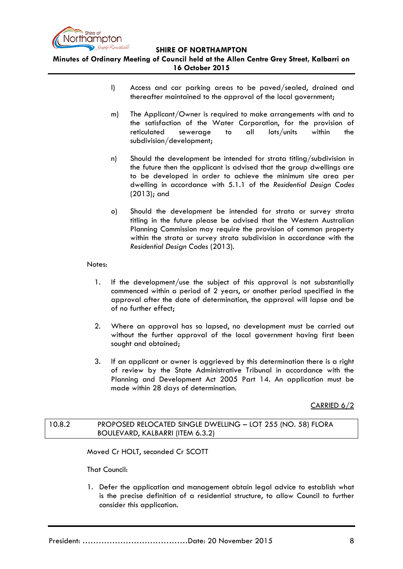

**Minutes of Ordinary Meeting of Council held at the Allen Centre Grey Street, Kalbarri on 16 October 2015**

- l) Access and car parking areas to be paved/sealed, drained and thereafter maintained to the approval of the local government;
- m) The Applicant/Owner is required to make arrangements with and to the satisfaction of the Water Corporation, for the provision of reticulated sewerage to all lots/units within the subdivision/development;
- n) Should the development be intended for strata titling/subdivision in the future then the applicant is advised that the group dwellings are to be developed in order to achieve the minimum site area per dwelling in accordance with 5.1.1 of the *Residential Design Codes* (2013); and
- o) Should the development be intended for strata or survey strata titling in the future please be advised that the Western Australian Planning Commission may require the provision of common property within the strata or survey strata subdivision in accordance with the *Residential Design Codes* (2013).

## Notes:

- 1. If the development/use the subject of this approval is not substantially commenced within a period of 2 years, or another period specified in the approval after the date of determination, the approval will lapse and be of no further effect;
- 2. Where an approval has so lapsed, no development must be carried out without the further approval of the local government having first been sought and obtained;
- 3. If an applicant or owner is aggrieved by this determination there is a right of review by the State Administrative Tribunal in accordance with the Planning and Development Act 2005 Part 14. An application must be made within 28 days of determination.

CARRIED 6/2

## 10.8.2 PROPOSED RELOCATED SINGLE DWELLING – LOT 255 (NO. 58) FLORA BOULEVARD, KALBARRI (ITEM 6.3.2)

Moved Cr HOLT, seconded Cr SCOTT

That Council:

1. Defer the application and management obtain legal advice to establish what is the precise definition of a residential structure, to allow Council to further consider this application.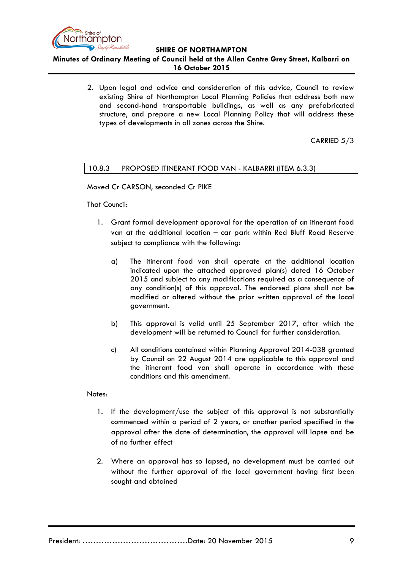

**Minutes of Ordinary Meeting of Council held at the Allen Centre Grey Street, Kalbarri on 16 October 2015**

> 2. Upon legal and advice and consideration of this advice, Council to review existing Shire of Northampton Local Planning Policies that address both new and second-hand transportable buildings, as well as any prefabricated structure, and prepare a new Local Planning Policy that will address these types of developments in all zones across the Shire.

## CARRIED 5/3

## <span id="page-8-0"></span>10.8.3 PROPOSED ITINERANT FOOD VAN - KALBARRI (ITEM 6.3.3)

Moved Cr CARSON, seconded Cr PIKE

That Council:

- 1. Grant formal development approval for the operation of an itinerant food van at the additional location – car park within Red Bluff Road Reserve subject to compliance with the following:
	- a) The itinerant food van shall operate at the additional location indicated upon the attached approved plan(s) dated 16 October 2015 and subject to any modifications required as a consequence of any condition(s) of this approval. The endorsed plans shall not be modified or altered without the prior written approval of the local government.
	- b) This approval is valid until 25 September 2017, after which the development will be returned to Council for further consideration.
	- c) All conditions contained within Planning Approval 2014-038 granted by Council on 22 August 2014 are applicable to this approval and the itinerant food van shall operate in accordance with these conditions and this amendment.

## Notes:

- 1. If the development/use the subject of this approval is not substantially commenced within a period of 2 years, or another period specified in the approval after the date of determination, the approval will lapse and be of no further effect
- 2. Where an approval has so lapsed, no development must be carried out without the further approval of the local government having first been sought and obtained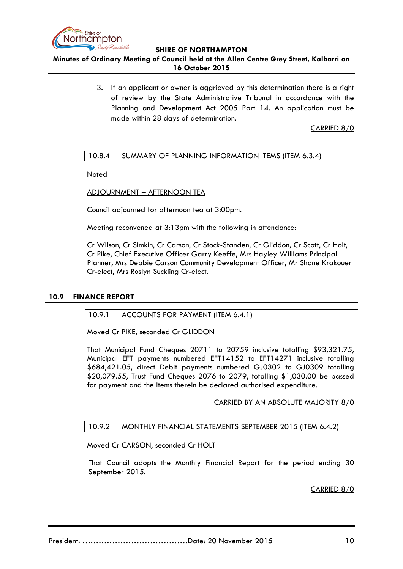

## **Minutes of Ordinary Meeting of Council held at the Allen Centre Grey Street, Kalbarri on 16 October 2015**

3. If an applicant or owner is aggrieved by this determination there is a right of review by the State Administrative Tribunal in accordance with the Planning and Development Act 2005 Part 14. An application must be made within 28 days of determination.

CARRIED 8/0

## <span id="page-9-0"></span>10.8.4 SUMMARY OF PLANNING INFORMATION ITEMS (ITEM 6.3.4)

**Noted** 

ADJOURNMENT – AFTERNOON TEA

Council adjourned for afternoon tea at 3:00pm.

Meeting reconvened at 3:13pm with the following in attendance:

Cr Wilson, Cr Simkin, Cr Carson, Cr Stock-Standen, Cr Gliddon, Cr Scott, Cr Holt, Cr Pike, Chief Executive Officer Garry Keeffe, Mrs Hayley Williams Principal Planner, Mrs Debbie Carson Community Development Officer, Mr Shane Krakouer Cr-elect, Mrs Roslyn Suckling Cr-elect.

## <span id="page-9-2"></span><span id="page-9-1"></span>**10.9 FINANCE REPORT**

## 10.9.1 ACCOUNTS FOR PAYMENT (ITEM 6.4.1)

Moved Cr PIKE, seconded Cr GLIDDON

That Municipal Fund Cheques 20711 to 20759 inclusive totalling \$93,321.75, Municipal EFT payments numbered EFT14152 to EFT14271 inclusive totalling \$684,421.05, direct Debit payments numbered GJ0302 to GJ0309 totalling \$20,079.55, Trust Fund Cheques 2076 to 2079, totalling \$1,030.00 be passed for payment and the items therein be declared authorised expenditure.

## CARRIED BY AN ABSOLUTE MAJORITY 8/0

## <span id="page-9-3"></span>10.9.2 MONTHLY FINANCIAL STATEMENTS SEPTEMBER 2015 (ITEM 6.4.2)

Moved Cr CARSON, seconded Cr HOLT

That Council adopts the Monthly Financial Report for the period ending 30 September 2015.

CARRIED 8/0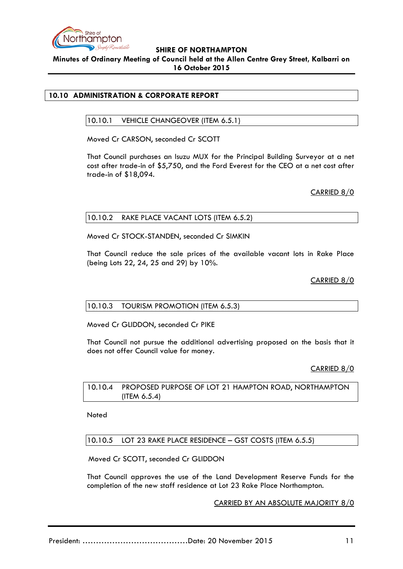

## **SHIRE OF NORTHAMPTON Minutes of Ordinary Meeting of Council held at the Allen Centre Grey Street, Kalbarri on 16 October 2015**

## <span id="page-10-1"></span><span id="page-10-0"></span>**10.10 ADMINISTRATION & CORPORATE REPORT**

## 10.10.1 VEHICLE CHANGEOVER (ITEM 6.5.1)

Moved Cr CARSON, seconded Cr SCOTT

That Council purchases an Isuzu MUX for the Principal Building Surveyor at a net cost after trade-in of \$5,750, and the Ford Everest for the CEO at a net cost after trade-in of \$18,094.

CARRIED 8/0

## <span id="page-10-2"></span>10.10.2 RAKE PLACE VACANT LOTS (ITEM 6.5.2)

Moved Cr STOCK-STANDEN, seconded Cr SIMKIN

That Council reduce the sale prices of the available vacant lots in Rake Place (being Lots 22, 24, 25 and 29) by 10%.

CARRIED 8/0

## <span id="page-10-3"></span>10.10.3 TOURISM PROMOTION (ITEM 6.5.3)

Moved Cr GLIDDON, seconded Cr PIKE

That Council not pursue the additional advertising proposed on the basis that it does not offer Council value for money.

CARRIED 8/0

10.10.4 PROPOSED PURPOSE OF LOT 21 HAMPTON ROAD, NORTHAMPTON (ITEM 6.5.4)

Noted

<span id="page-10-4"></span>10.10.5 LOT 23 RAKE PLACE RESIDENCE – GST COSTS (ITEM 6.5.5)

Moved Cr SCOTT, seconded Cr GLIDDON

That Council approves the use of the Land Development Reserve Funds for the completion of the new staff residence at Lot 23 Rake Place Northampton.

CARRIED BY AN ABSOLUTE MAJORITY 8/0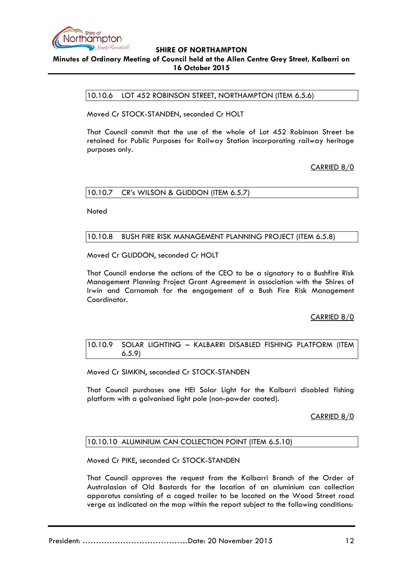

## <span id="page-11-0"></span>**SHIRE OF NORTHAMPTON Minutes of Ordinary Meeting of Council held at the Allen Centre Grey Street, Kalbarri on 16 October 2015**

10.10.6 LOT 452 ROBINSON STREET, NORTHAMPTON (ITEM 6.5.6)

Moved Cr STOCK-STANDEN, seconded Cr HOLT

That Council commit that the use of the whole of Lot 452 Robinson Street be retained for Public Purposes for Railway Station incorporating railway heritage purposes only.

CARRIED 8/0

## <span id="page-11-1"></span>10.10.7 CR's WILSON & GLIDDON (ITEM 6.5.7)

Noted

## <span id="page-11-2"></span>10.10.8 BUSH FIRE RISK MANAGEMENT PLANNING PROJECT (ITEM 6.5.8)

Moved Cr GLIDDON, seconded Cr HOLT

That Council endorse the actions of the CEO to be a signatory to a Bushfire Risk Management Planning Project Grant Agreement in association with the Shires of Irwin and Carnamah for the engagement of a Bush Fire Risk Management Coordinator.

CARRIED 8/0

<span id="page-11-3"></span>10.10.9 SOLAR LIGHTING – KALBARRI DISABLED FISHING PLATFORM (ITEM 6.5.9)

Moved Cr SIMKIN, seconded Cr STOCK-STANDEN

That Council purchases one HEI Solar Light for the Kalbarri disabled fishing platform with a galvanised light pole (non-powder coated).

CARRIED 8/0

## <span id="page-11-4"></span>10.10.10 ALUMINIUM CAN COLLECTION POINT (ITEM 6.5.10)

Moved Cr PIKE, seconded Cr STOCK-STANDEN

That Council approves the request from the Kalbarri Branch of the Order of Australasian of Old Bastards for the location of an aluminium can collection apparatus consisting of a caged trailer to be located on the Wood Street road verge as indicated on the map within the report subject to the following conditions:

President: …………………………………Date: 20 November 2015 12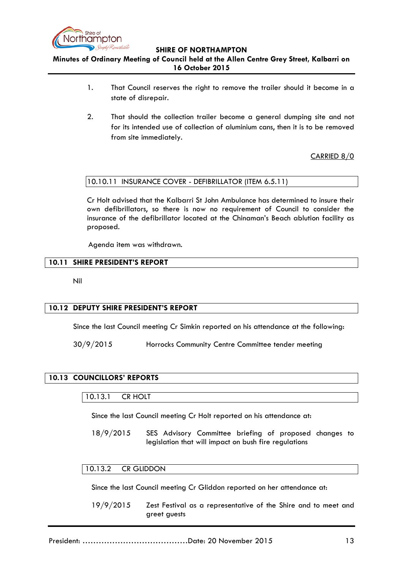

## **Minutes of Ordinary Meeting of Council held at the Allen Centre Grey Street, Kalbarri on 16 October 2015**

- 1. That Council reserves the right to remove the trailer should it become in a state of disrepair.
- 2. That should the collection trailer become a general dumping site and not for its intended use of collection of aluminium cans, then it is to be removed from site immediately.

CARRIED 8/0

## <span id="page-12-0"></span>10.10.11 INSURANCE COVER - DEFIBRILLATOR (ITEM 6.5.11)

Cr Holt advised that the Kalbarri St John Ambulance has determined to insure their own defibrillators, so there is now no requirement of Council to consider the insurance of the defibrillator located at the Chinaman's Beach ablution facility as proposed.

Agenda item was withdrawn.

## <span id="page-12-1"></span>**10.11 SHIRE PRESIDENT'S REPORT**

Nil

## <span id="page-12-2"></span>**10.12 DEPUTY SHIRE PRESIDENT'S REPORT**

Since the last Council meeting Cr Simkin reported on his attendance at the following:

30/9/2015 Horrocks Community Centre Committee tender meeting

## <span id="page-12-4"></span><span id="page-12-3"></span>**10.13 COUNCILLORS' REPORTS**

## 10.13.1 CR HOLT

Since the last Council meeting Cr Holt reported on his attendance at:

18/9/2015 SES Advisory Committee briefing of proposed changes to legislation that will impact on bush fire regulations

#### <span id="page-12-5"></span>10.13.2 CR GLIDDON

Since the last Council meeting Cr Gliddon reported on her attendance at:

19/9/2015 Zest Festival as a representative of the Shire and to meet and greet guests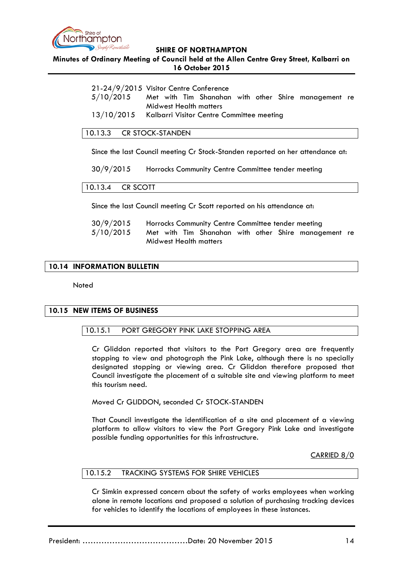

**Minutes of Ordinary Meeting of Council held at the Allen Centre Grey Street, Kalbarri on 16 October 2015**

|                                                      | 21-24/9/2015 Visitor Centre Conference |  |  |  |  |  |  |                                                      |  |
|------------------------------------------------------|----------------------------------------|--|--|--|--|--|--|------------------------------------------------------|--|
| 5/10/2015                                            |                                        |  |  |  |  |  |  | Met with Tim Shanahan with other Shire management re |  |
|                                                      | Midwest Health matters                 |  |  |  |  |  |  |                                                      |  |
| 13/10/2015 Kalbarri Visitor Centre Committee meeting |                                        |  |  |  |  |  |  |                                                      |  |

## <span id="page-13-0"></span>10.13.3 CR STOCK-STANDEN

Since the last Council meeting Cr Stock-Standen reported on her attendance at:

30/9/2015 Horrocks Community Centre Committee tender meeting

<span id="page-13-1"></span>10.13.4 CR SCOTT

Since the last Council meeting Cr Scott reported on his attendance at:

| 30/9/2015 | Horrocks Community Centre Committee tender meeting |  |  |  |  |  |  |                                                      |  |
|-----------|----------------------------------------------------|--|--|--|--|--|--|------------------------------------------------------|--|
| 5/10/2015 |                                                    |  |  |  |  |  |  | Met with Tim Shanahan with other Shire management re |  |
|           | Midwest Health matters                             |  |  |  |  |  |  |                                                      |  |

## <span id="page-13-2"></span>**10.14 INFORMATION BULLETIN**

**Noted** 

## <span id="page-13-4"></span><span id="page-13-3"></span>**10.15 NEW ITEMS OF BUSINESS**

## 10.15.1 PORT GREGORY PINK LAKE STOPPING AREA

Cr Gliddon reported that visitors to the Port Gregory area are frequently stopping to view and photograph the Pink Lake, although there is no specially designated stopping or viewing area. Cr Gliddon therefore proposed that Council investigate the placement of a suitable site and viewing platform to meet this tourism need.

Moved Cr GLIDDON, seconded Cr STOCK-STANDEN

That Council investigate the identification of a site and placement of a viewing platform to allow visitors to view the Port Gregory Pink Lake and investigate possible funding opportunities for this infrastructure.

CARRIED 8/0

#### <span id="page-13-5"></span>10.15.2 TRACKING SYSTEMS FOR SHIRE VEHICLES

Cr Simkin expressed concern about the safety of works employees when working alone in remote locations and proposed a solution of purchasing tracking devices for vehicles to identify the locations of employees in these instances.